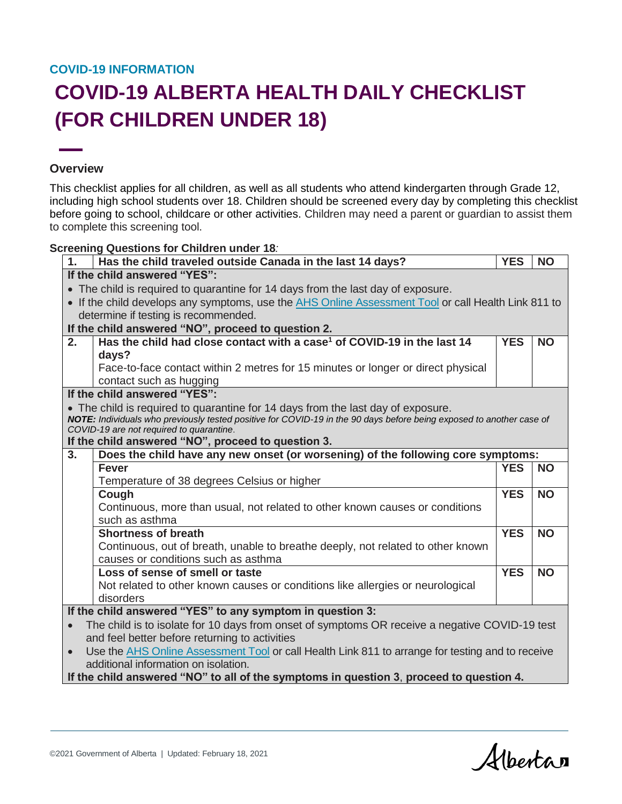## **COVID-19 INFORMATION**

## **COVID-19 ALBERTA HEALTH DAILY CHECKLIST (FOR CHILDREN UNDER 18)**

## **Overview**

This checklist applies for all children, as well as all students who attend kindergarten through Grade 12, including high school students over 18. Children should be screened every day by completing this checklist before going to school, childcare or other activities. Children may need a parent or guardian to assist them to complete this screening tool.

## **Screening Questions for Children under 18***:*

| 1.                                                                                               | Has the child traveled outside Canada in the last 14 days?                                                                                                       | <b>YES</b> | <b>NO</b> |  |  |  |
|--------------------------------------------------------------------------------------------------|------------------------------------------------------------------------------------------------------------------------------------------------------------------|------------|-----------|--|--|--|
| If the child answered "YES":                                                                     |                                                                                                                                                                  |            |           |  |  |  |
|                                                                                                  | • The child is required to quarantine for 14 days from the last day of exposure.                                                                                 |            |           |  |  |  |
|                                                                                                  | • If the child develops any symptoms, use the AHS Online Assessment Tool or call Health Link 811 to                                                              |            |           |  |  |  |
|                                                                                                  | determine if testing is recommended.                                                                                                                             |            |           |  |  |  |
| If the child answered "NO", proceed to question 2.                                               |                                                                                                                                                                  |            |           |  |  |  |
| 2.                                                                                               | Has the child had close contact with a case <sup>1</sup> of COVID-19 in the last 14                                                                              | <b>YES</b> | <b>NO</b> |  |  |  |
|                                                                                                  | days?                                                                                                                                                            |            |           |  |  |  |
|                                                                                                  | Face-to-face contact within 2 metres for 15 minutes or longer or direct physical                                                                                 |            |           |  |  |  |
|                                                                                                  | contact such as hugging                                                                                                                                          |            |           |  |  |  |
|                                                                                                  | If the child answered "YES":                                                                                                                                     |            |           |  |  |  |
| • The child is required to quarantine for 14 days from the last day of exposure.                 |                                                                                                                                                                  |            |           |  |  |  |
|                                                                                                  | NOTE: Individuals who previously tested positive for COVID-19 in the 90 days before being exposed to another case of<br>COVID-19 are not required to quarantine. |            |           |  |  |  |
|                                                                                                  | If the child answered "NO", proceed to question 3.                                                                                                               |            |           |  |  |  |
| 3 <sub>1</sub>                                                                                   | Does the child have any new onset (or worsening) of the following core symptoms:                                                                                 |            |           |  |  |  |
|                                                                                                  | <b>Fever</b>                                                                                                                                                     | <b>YES</b> | <b>NO</b> |  |  |  |
|                                                                                                  | Temperature of 38 degrees Celsius or higher                                                                                                                      |            |           |  |  |  |
|                                                                                                  | Cough                                                                                                                                                            | <b>YES</b> | <b>NO</b> |  |  |  |
|                                                                                                  | Continuous, more than usual, not related to other known causes or conditions                                                                                     |            |           |  |  |  |
|                                                                                                  | such as asthma                                                                                                                                                   |            |           |  |  |  |
|                                                                                                  | <b>Shortness of breath</b>                                                                                                                                       | <b>YES</b> | <b>NO</b> |  |  |  |
|                                                                                                  | Continuous, out of breath, unable to breathe deeply, not related to other known                                                                                  |            |           |  |  |  |
|                                                                                                  | causes or conditions such as asthma                                                                                                                              |            |           |  |  |  |
|                                                                                                  | Loss of sense of smell or taste                                                                                                                                  | <b>YES</b> | <b>NO</b> |  |  |  |
|                                                                                                  | Not related to other known causes or conditions like allergies or neurological                                                                                   |            |           |  |  |  |
|                                                                                                  | disorders                                                                                                                                                        |            |           |  |  |  |
| If the child answered "YES" to any symptom in question 3:                                        |                                                                                                                                                                  |            |           |  |  |  |
| The child is to isolate for 10 days from onset of symptoms OR receive a negative COVID-19 test   |                                                                                                                                                                  |            |           |  |  |  |
| and feel better before returning to activities                                                   |                                                                                                                                                                  |            |           |  |  |  |
| Use the AHS Online Assessment Tool or call Health Link 811 to arrange for testing and to receive |                                                                                                                                                                  |            |           |  |  |  |
|                                                                                                  | additional information on isolation.                                                                                                                             |            |           |  |  |  |
|                                                                                                  | If the child answered "NO" to all of the symptoms in question 3, proceed to question 4.                                                                          |            |           |  |  |  |

©2021 Government of Alberta | Updated: February 18, 2021

Albertan